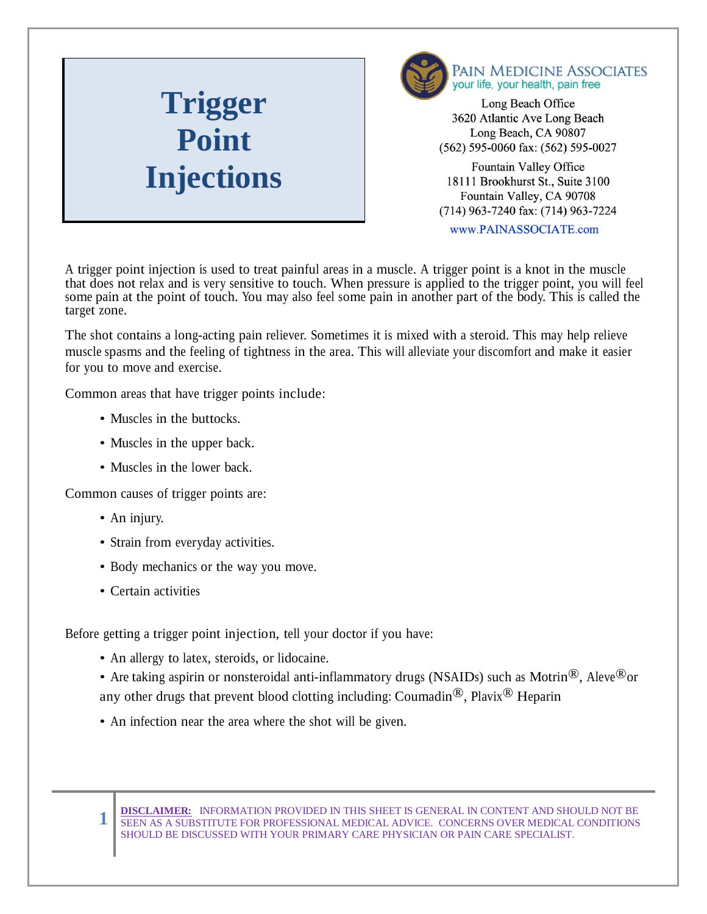## **Trigger Point**



Long Beach Office 3620 Atlantic Ave Long Beach Long Beach, CA 90807 (562) 595-0060 fax: (562) 595-0027

**Injections** Fountain Valley Office<br>18111 Brookhurst St., Suite 3 18111 Brookhurst St., Suite 3100 Fountain Valley, CA 90708 (714) 963-7240 fax: (714) 963-7224

www.PAINASSOCIATE.com

A trigger point injection is used to treat painful areas in a muscle. A trigger point is a knot in the muscle that does not relax and is very sensitive to touch. When pressure is applied to the trigger point, you will feel some pain at the point of touch. You may also feel some pain in another part of the body. This is called the target zone.

The shot contains a long-acting pain reliever. Sometimes it is mixed with a steroid. This may help relieve muscle spasms and the feeling of tightness in the area. This will alleviate your discomfort and make it easier for you to move and exercise.

Common areas that have trigger points include:

- Muscles in the buttocks.
- Muscles in the upper back.
- Muscles in the lower back.

Common causes of trigger points are:

• An injury.

**1**

- Strain from everyday activities.
- Body mechanics or the way you move.
- Certain activities

Before getting a trigger point injection, tell your doctor if you have:

- An allergy to latex, steroids, or lidocaine.
- Are taking aspirin or nonsteroidal anti-inflammatory drugs (NSAIDs) such as Motrin<sup>®</sup>, Aleve<sup>®</sup>or any other drugs that prevent blood clotting including: Coumadin<sup>®</sup>, Plavix<sup>®</sup> Heparin
- An infection near the area where the shot will be given.

**DISCLAIMER:** INFORMATION PROVIDED IN THIS SHEET IS GENERAL IN CONTENT AND SHOULD NOT BE SEEN AS A SUBSTITUTE FOR PROFESSIONAL MEDICAL ADVICE. CONCERNS OVER MEDICAL CONDITIONS SHOULD BE DISCUSSED WITH YOUR PRIMARY CARE PHYSICIAN OR PAIN CARE SPECIALIST.